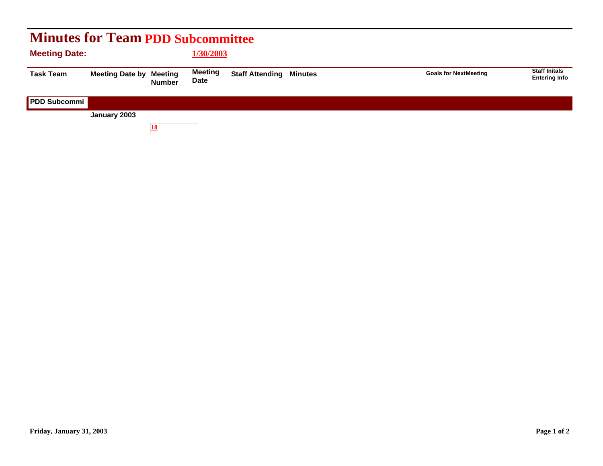| <b>Minutes for Team PDD Subcommittee</b> |                        |                          |                        |                                |  |                              |                                              |  |  |  |  |
|------------------------------------------|------------------------|--------------------------|------------------------|--------------------------------|--|------------------------------|----------------------------------------------|--|--|--|--|
| <b>Meeting Date:</b>                     |                        |                          | 1/30/2003              |                                |  |                              |                                              |  |  |  |  |
| <b>Task Team</b>                         | <b>Meeting Date by</b> | Meeting<br><b>Number</b> | <b>Meeting</b><br>Date | <b>Staff Attending Minutes</b> |  | <b>Goals for NextMeeting</b> | <b>Staff Initals</b><br><b>Entering Info</b> |  |  |  |  |
| PDD Subcommi                             |                        |                          |                        |                                |  |                              |                                              |  |  |  |  |
|                                          | January 2003           |                          |                        |                                |  |                              |                                              |  |  |  |  |
|                                          |                        | 18                       |                        |                                |  |                              |                                              |  |  |  |  |